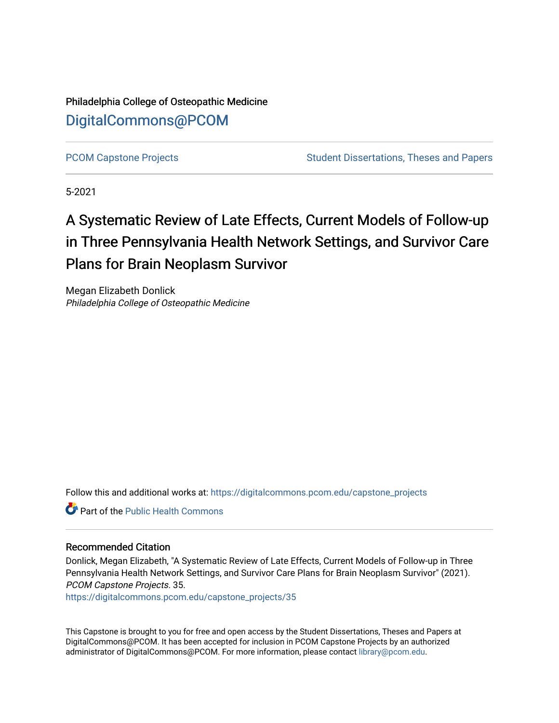Philadelphia College of Osteopathic Medicine [DigitalCommons@PCOM](https://digitalcommons.pcom.edu/) 

[PCOM Capstone Projects](https://digitalcommons.pcom.edu/capstone_projects) **Student Dissertations, Theses and Papers** Student Dissertations, Theses and Papers

5-2021

## A Systematic Review of Late Effects, Current Models of Follow-up in Three Pennsylvania Health Network Settings, and Survivor Care Plans for Brain Neoplasm Survivor

Megan Elizabeth Donlick Philadelphia College of Osteopathic Medicine

Follow this and additional works at: [https://digitalcommons.pcom.edu/capstone\\_projects](https://digitalcommons.pcom.edu/capstone_projects?utm_source=digitalcommons.pcom.edu%2Fcapstone_projects%2F35&utm_medium=PDF&utm_campaign=PDFCoverPages)

**C** Part of the Public Health Commons

### Recommended Citation

Donlick, Megan Elizabeth, "A Systematic Review of Late Effects, Current Models of Follow-up in Three Pennsylvania Health Network Settings, and Survivor Care Plans for Brain Neoplasm Survivor" (2021). PCOM Capstone Projects. 35.

[https://digitalcommons.pcom.edu/capstone\\_projects/35](https://digitalcommons.pcom.edu/capstone_projects/35?utm_source=digitalcommons.pcom.edu%2Fcapstone_projects%2F35&utm_medium=PDF&utm_campaign=PDFCoverPages) 

This Capstone is brought to you for free and open access by the Student Dissertations, Theses and Papers at DigitalCommons@PCOM. It has been accepted for inclusion in PCOM Capstone Projects by an authorized administrator of DigitalCommons@PCOM. For more information, please contact [library@pcom.edu.](mailto:library@pcom.edu)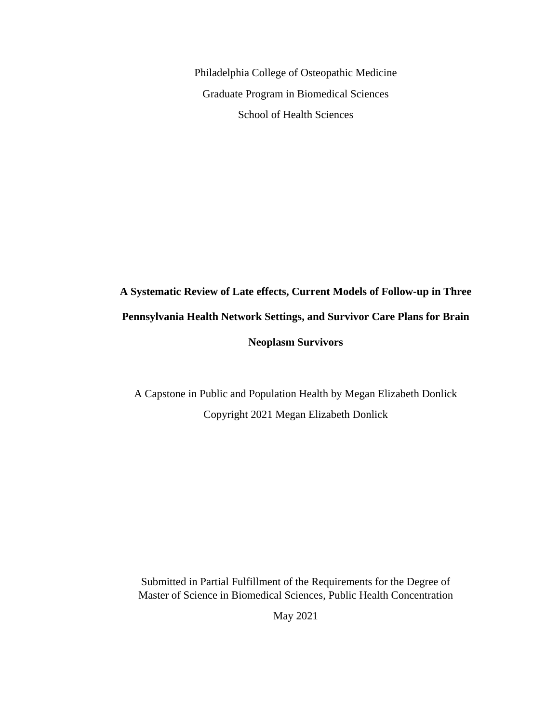Philadelphia College of Osteopathic Medicine Graduate Program in Biomedical Sciences School of Health Sciences

# **A Systematic Review of Late effects, Current Models of Follow-up in Three Pennsylvania Health Network Settings, and Survivor Care Plans for Brain Neoplasm Survivors**

A Capstone in Public and Population Health by Megan Elizabeth Donlick Copyright 2021 Megan Elizabeth Donlick

Submitted in Partial Fulfillment of the Requirements for the Degree of Master of Science in Biomedical Sciences, Public Health Concentration

May 2021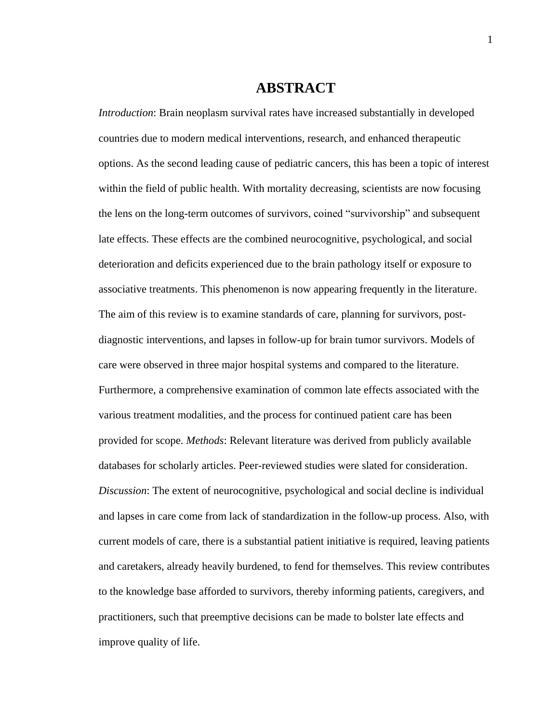## **ABSTRACT**

*Introduction*: Brain neoplasm survival rates have increased substantially in developed countries due to modern medical interventions, research, and enhanced therapeutic options. As the second leading cause of pediatric cancers, this has been a topic of interest within the field of public health. With mortality decreasing, scientists are now focusing the lens on the long-term outcomes of survivors, coined "survivorship" and subsequent late effects. These effects are the combined neurocognitive, psychological, and social deterioration and deficits experienced due to the brain pathology itself or exposure to associative treatments. This phenomenon is now appearing frequently in the literature. The aim of this review is to examine standards of care, planning for survivors, postdiagnostic interventions, and lapses in follow-up for brain tumor survivors. Models of care were observed in three major hospital systems and compared to the literature. Furthermore, a comprehensive examination of common late effects associated with the various treatment modalities, and the process for continued patient care has been provided for scope. *Methods*: Relevant literature was derived from publicly available databases for scholarly articles. Peer-reviewed studies were slated for consideration. *Discussion*: The extent of neurocognitive, psychological and social decline is individual and lapses in care come from lack of standardization in the follow-up process. Also, with current models of care, there is a substantial patient initiative is required, leaving patients and caretakers, already heavily burdened, to fend for themselves. This review contributes to the knowledge base afforded to survivors, thereby informing patients, caregivers, and practitioners, such that preemptive decisions can be made to bolster late effects and improve quality of life.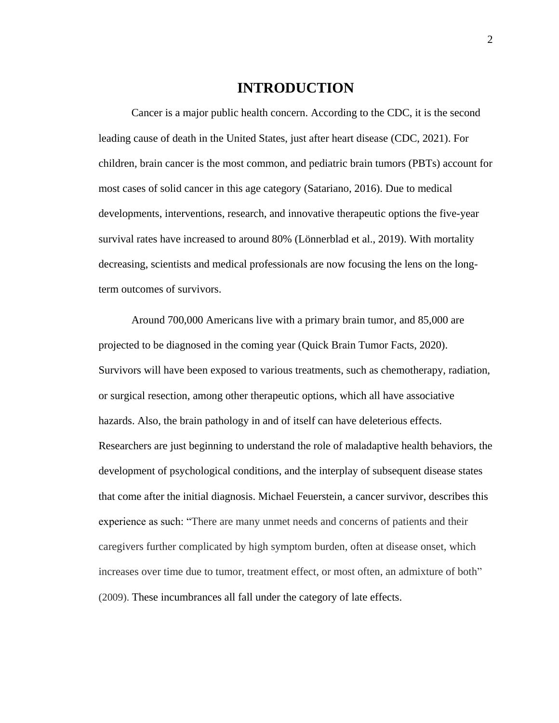## **INTRODUCTION**

Cancer is a major public health concern. According to the CDC, it is the second leading cause of death in the United States, just after heart disease (CDC, 2021). For children, brain cancer is the most common, and pediatric brain tumors (PBTs) account for most cases of solid cancer in this age category (Satariano, 2016). Due to medical developments, interventions, research, and innovative therapeutic options the five-year survival rates have increased to around 80% (Lönnerblad et al., 2019). With mortality decreasing, scientists and medical professionals are now focusing the lens on the longterm outcomes of survivors.

Around 700,000 Americans live with a primary brain tumor, and 85,000 are projected to be diagnosed in the coming year (Quick Brain Tumor Facts, 2020). Survivors will have been exposed to various treatments, such as chemotherapy, radiation, or surgical resection, among other therapeutic options, which all have associative hazards. Also, the brain pathology in and of itself can have deleterious effects. Researchers are just beginning to understand the role of maladaptive health behaviors, the development of psychological conditions, and the interplay of subsequent disease states that come after the initial diagnosis. Michael Feuerstein, a cancer survivor, describes this experience as such: "There are many unmet needs and concerns of patients and their caregivers further complicated by high symptom burden, often at disease onset, which increases over time due to tumor, treatment effect, or most often, an admixture of both" (2009). These incumbrances all fall under the category of late effects.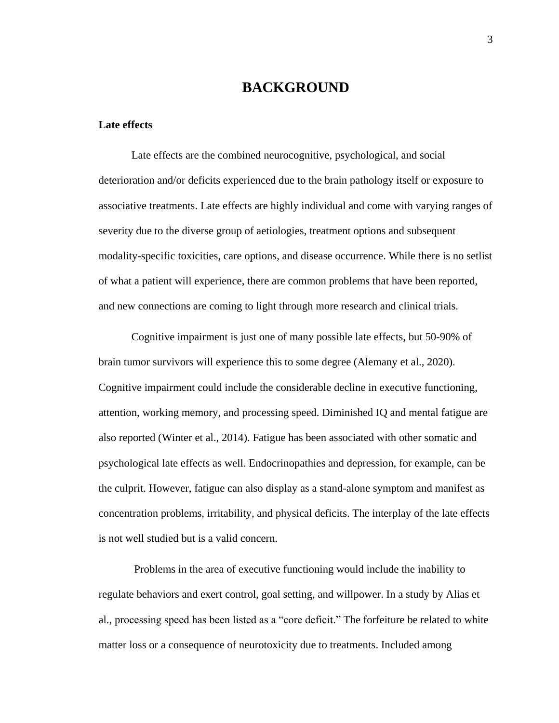## **BACKGROUND**

#### **Late effects**

Late effects are the combined neurocognitive, psychological, and social deterioration and/or deficits experienced due to the brain pathology itself or exposure to associative treatments. Late effects are highly individual and come with varying ranges of severity due to the diverse group of aetiologies, treatment options and subsequent modality-specific toxicities, care options, and disease occurrence. While there is no setlist of what a patient will experience, there are common problems that have been reported, and new connections are coming to light through more research and clinical trials.

Cognitive impairment is just one of many possible late effects, but 50-90% of brain tumor survivors will experience this to some degree (Alemany et al., 2020). Cognitive impairment could include the considerable decline in executive functioning, attention, working memory, and processing speed. Diminished IQ and mental fatigue are also reported (Winter et al., 2014). Fatigue has been associated with other somatic and psychological late effects as well. Endocrinopathies and depression, for example, can be the culprit. However, fatigue can also display as a stand-alone symptom and manifest as concentration problems, irritability, and physical deficits. The interplay of the late effects is not well studied but is a valid concern.

Problems in the area of executive functioning would include the inability to regulate behaviors and exert control, goal setting, and willpower. In a study by Alias et al., processing speed has been listed as a "core deficit." The forfeiture be related to white matter loss or a consequence of neurotoxicity due to treatments. Included among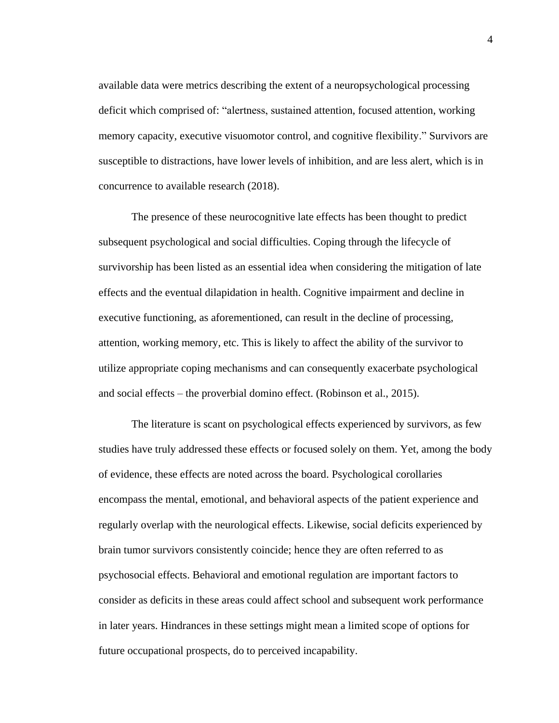available data were metrics describing the extent of a neuropsychological processing deficit which comprised of: "alertness, sustained attention, focused attention, working memory capacity, executive visuomotor control, and cognitive flexibility." Survivors are susceptible to distractions, have lower levels of inhibition, and are less alert, which is in concurrence to available research (2018).

The presence of these neurocognitive late effects has been thought to predict subsequent psychological and social difficulties. Coping through the lifecycle of survivorship has been listed as an essential idea when considering the mitigation of late effects and the eventual dilapidation in health. Cognitive impairment and decline in executive functioning, as aforementioned, can result in the decline of processing, attention, working memory, etc. This is likely to affect the ability of the survivor to utilize appropriate coping mechanisms and can consequently exacerbate psychological and social effects – the proverbial domino effect. (Robinson et al., 2015).

The literature is scant on psychological effects experienced by survivors, as few studies have truly addressed these effects or focused solely on them. Yet, among the body of evidence, these effects are noted across the board. Psychological corollaries encompass the mental, emotional, and behavioral aspects of the patient experience and regularly overlap with the neurological effects. Likewise, social deficits experienced by brain tumor survivors consistently coincide; hence they are often referred to as psychosocial effects. Behavioral and emotional regulation are important factors to consider as deficits in these areas could affect school and subsequent work performance in later years. Hindrances in these settings might mean a limited scope of options for future occupational prospects, do to perceived incapability.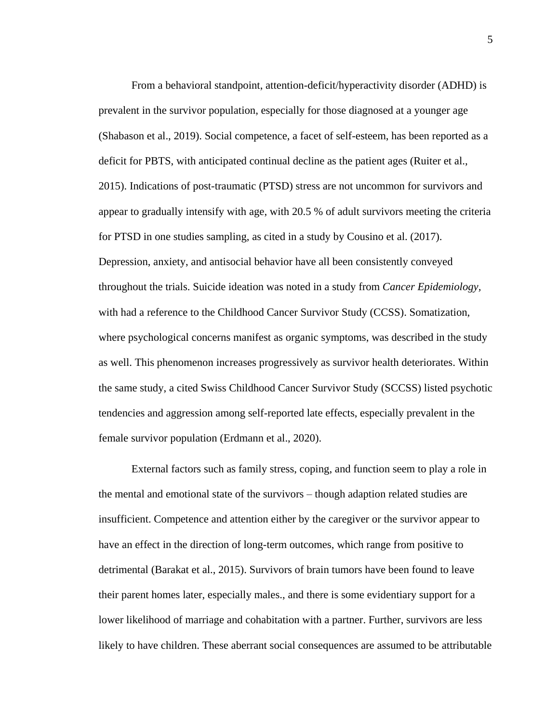From a behavioral standpoint, attention-deficit/hyperactivity disorder (ADHD) is prevalent in the survivor population, especially for those diagnosed at a younger age (Shabason et al., 2019). Social competence, a facet of self-esteem, has been reported as a deficit for PBTS, with anticipated continual decline as the patient ages (Ruiter et al., 2015). Indications of post-traumatic (PTSD) stress are not uncommon for survivors and appear to gradually intensify with age, with 20.5 % of adult survivors meeting the criteria for PTSD in one studies sampling, as cited in a study by Cousino et al. (2017). Depression, anxiety, and antisocial behavior have all been consistently conveyed throughout the trials. Suicide ideation was noted in a study from *Cancer Epidemiology,*  with had a reference to the Childhood Cancer Survivor Study (CCSS). Somatization, where psychological concerns manifest as organic symptoms, was described in the study as well. This phenomenon increases progressively as survivor health deteriorates. Within the same study, a cited Swiss Childhood Cancer Survivor Study (SCCSS) listed psychotic tendencies and aggression among self-reported late effects, especially prevalent in the female survivor population (Erdmann et al., 2020).

External factors such as family stress, coping, and function seem to play a role in the mental and emotional state of the survivors – though adaption related studies are insufficient. Competence and attention either by the caregiver or the survivor appear to have an effect in the direction of long-term outcomes, which range from positive to detrimental (Barakat et al., 2015). Survivors of brain tumors have been found to leave their parent homes later, especially males., and there is some evidentiary support for a lower likelihood of marriage and cohabitation with a partner. Further, survivors are less likely to have children. These aberrant social consequences are assumed to be attributable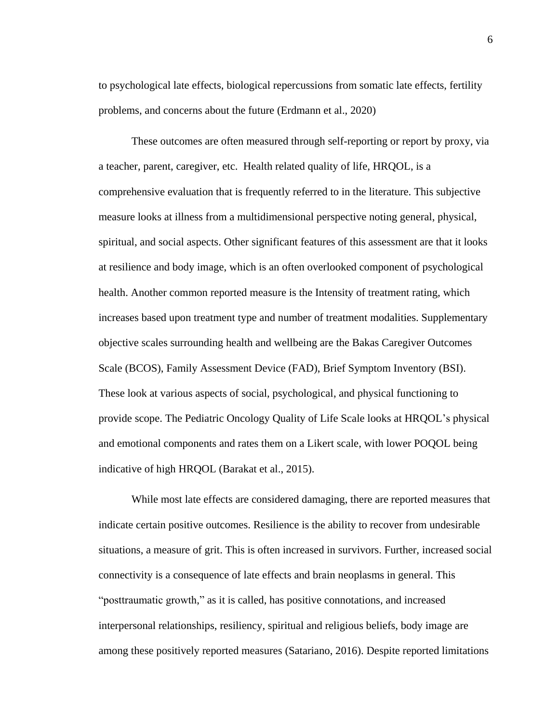to psychological late effects, biological repercussions from somatic late effects, fertility problems, and concerns about the future (Erdmann et al., 2020)

These outcomes are often measured through self-reporting or report by proxy, via a teacher, parent, caregiver, etc. Health related quality of life, HRQOL, is a comprehensive evaluation that is frequently referred to in the literature. This subjective measure looks at illness from a multidimensional perspective noting general, physical, spiritual, and social aspects. Other significant features of this assessment are that it looks at resilience and body image, which is an often overlooked component of psychological health. Another common reported measure is the Intensity of treatment rating, which increases based upon treatment type and number of treatment modalities. Supplementary objective scales surrounding health and wellbeing are the Bakas Caregiver Outcomes Scale (BCOS), Family Assessment Device (FAD), Brief Symptom Inventory (BSI). These look at various aspects of social, psychological, and physical functioning to provide scope. The Pediatric Oncology Quality of Life Scale looks at HRQOL's physical and emotional components and rates them on a Likert scale, with lower POQOL being indicative of high HRQOL (Barakat et al., 2015).

While most late effects are considered damaging, there are reported measures that indicate certain positive outcomes. Resilience is the ability to recover from undesirable situations, a measure of grit. This is often increased in survivors. Further, increased social connectivity is a consequence of late effects and brain neoplasms in general. This "posttraumatic growth," as it is called, has positive connotations, and increased interpersonal relationships, resiliency, spiritual and religious beliefs, body image are among these positively reported measures (Satariano, 2016). Despite reported limitations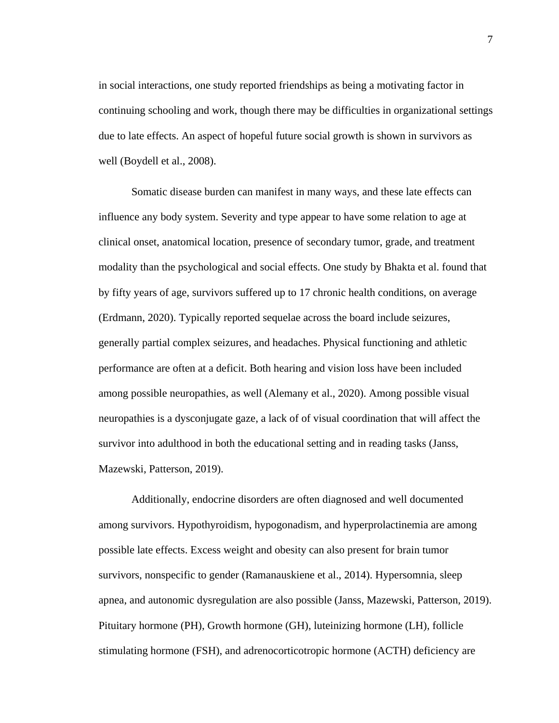in social interactions, one study reported friendships as being a motivating factor in continuing schooling and work, though there may be difficulties in organizational settings due to late effects. An aspect of hopeful future social growth is shown in survivors as well (Boydell et al., 2008).

Somatic disease burden can manifest in many ways, and these late effects can influence any body system. Severity and type appear to have some relation to age at clinical onset, anatomical location, presence of secondary tumor, grade, and treatment modality than the psychological and social effects. One study by Bhakta et al. found that by fifty years of age, survivors suffered up to 17 chronic health conditions, on average (Erdmann, 2020). Typically reported sequelae across the board include seizures, generally partial complex seizures, and headaches. Physical functioning and athletic performance are often at a deficit. Both hearing and vision loss have been included among possible neuropathies, as well (Alemany et al., 2020). Among possible visual neuropathies is a dysconjugate gaze, a lack of of visual coordination that will affect the survivor into adulthood in both the educational setting and in reading tasks (Janss, Mazewski, Patterson, 2019).

Additionally, endocrine disorders are often diagnosed and well documented among survivors. Hypothyroidism, hypogonadism, and hyperprolactinemia are among possible late effects. Excess weight and obesity can also present for brain tumor survivors, nonspecific to gender (Ramanauskiene et al., 2014). Hypersomnia, sleep apnea, and autonomic dysregulation are also possible (Janss, Mazewski, Patterson, 2019). Pituitary hormone (PH), Growth hormone (GH), luteinizing hormone (LH), follicle stimulating hormone (FSH), and adrenocorticotropic hormone (ACTH) deficiency are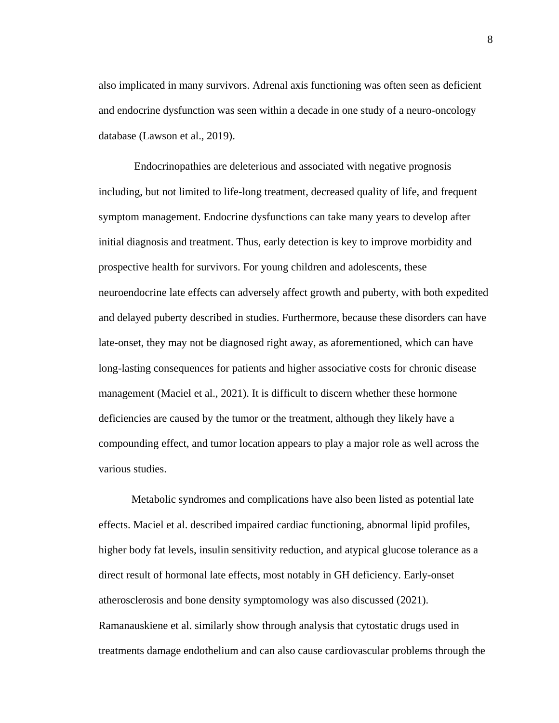also implicated in many survivors. Adrenal axis functioning was often seen as deficient and endocrine dysfunction was seen within a decade in one study of a neuro-oncology database (Lawson et al., 2019).

Endocrinopathies are deleterious and associated with negative prognosis including, but not limited to life-long treatment, decreased quality of life, and frequent symptom management. Endocrine dysfunctions can take many years to develop after initial diagnosis and treatment. Thus, early detection is key to improve morbidity and prospective health for survivors. For young children and adolescents, these neuroendocrine late effects can adversely affect growth and puberty, with both expedited and delayed puberty described in studies. Furthermore, because these disorders can have late-onset, they may not be diagnosed right away, as aforementioned, which can have long-lasting consequences for patients and higher associative costs for chronic disease management (Maciel et al., 2021). It is difficult to discern whether these hormone deficiencies are caused by the tumor or the treatment, although they likely have a compounding effect, and tumor location appears to play a major role as well across the various studies.

Metabolic syndromes and complications have also been listed as potential late effects. Maciel et al. described impaired cardiac functioning, abnormal lipid profiles, higher body fat levels, insulin sensitivity reduction, and atypical glucose tolerance as a direct result of hormonal late effects, most notably in GH deficiency. Early-onset atherosclerosis and bone density symptomology was also discussed (2021). Ramanauskiene et al. similarly show through analysis that cytostatic drugs used in treatments damage endothelium and can also cause cardiovascular problems through the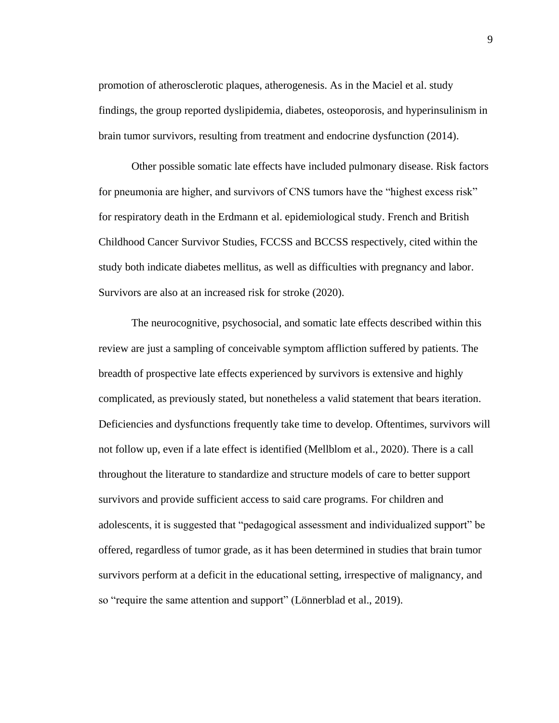promotion of atherosclerotic plaques, atherogenesis. As in the Maciel et al. study findings, the group reported dyslipidemia, diabetes, osteoporosis, and hyperinsulinism in brain tumor survivors, resulting from treatment and endocrine dysfunction (2014).

Other possible somatic late effects have included pulmonary disease. Risk factors for pneumonia are higher, and survivors of CNS tumors have the "highest excess risk" for respiratory death in the Erdmann et al. epidemiological study. French and British Childhood Cancer Survivor Studies, FCCSS and BCCSS respectively, cited within the study both indicate diabetes mellitus, as well as difficulties with pregnancy and labor. Survivors are also at an increased risk for stroke (2020).

The neurocognitive, psychosocial, and somatic late effects described within this review are just a sampling of conceivable symptom affliction suffered by patients. The breadth of prospective late effects experienced by survivors is extensive and highly complicated, as previously stated, but nonetheless a valid statement that bears iteration. Deficiencies and dysfunctions frequently take time to develop. Oftentimes, survivors will not follow up, even if a late effect is identified (Mellblom et al., 2020). There is a call throughout the literature to standardize and structure models of care to better support survivors and provide sufficient access to said care programs. For children and adolescents, it is suggested that "pedagogical assessment and individualized support" be offered, regardless of tumor grade, as it has been determined in studies that brain tumor survivors perform at a deficit in the educational setting, irrespective of malignancy, and so "require the same attention and support" (Lönnerblad et al., 2019).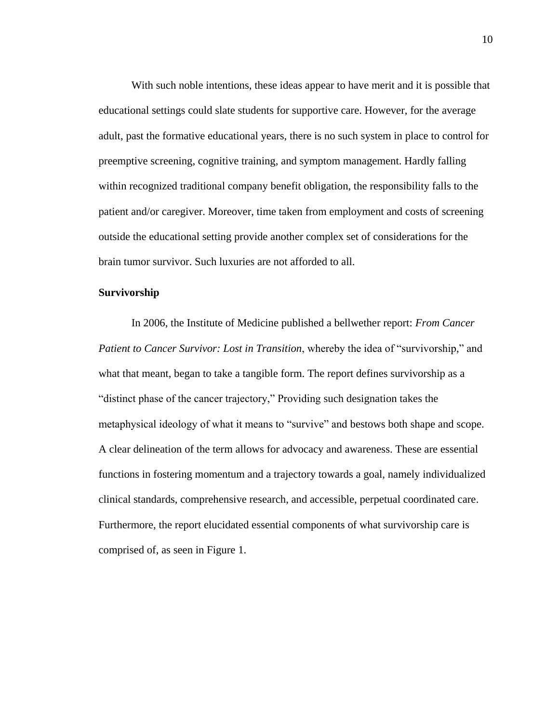With such noble intentions, these ideas appear to have merit and it is possible that educational settings could slate students for supportive care. However, for the average adult, past the formative educational years, there is no such system in place to control for preemptive screening, cognitive training, and symptom management. Hardly falling within recognized traditional company benefit obligation, the responsibility falls to the patient and/or caregiver. Moreover, time taken from employment and costs of screening outside the educational setting provide another complex set of considerations for the brain tumor survivor. Such luxuries are not afforded to all.

#### **Survivorship**

In 2006, the Institute of Medicine published a bellwether report: *From Cancer Patient to Cancer Survivor: Lost in Transition*, whereby the idea of "survivorship," and what that meant, began to take a tangible form. The report defines survivorship as a "distinct phase of the cancer trajectory," Providing such designation takes the metaphysical ideology of what it means to "survive" and bestows both shape and scope. A clear delineation of the term allows for advocacy and awareness. These are essential functions in fostering momentum and a trajectory towards a goal, namely individualized clinical standards, comprehensive research, and accessible, perpetual coordinated care. Furthermore, the report elucidated essential components of what survivorship care is comprised of, as seen in Figure 1.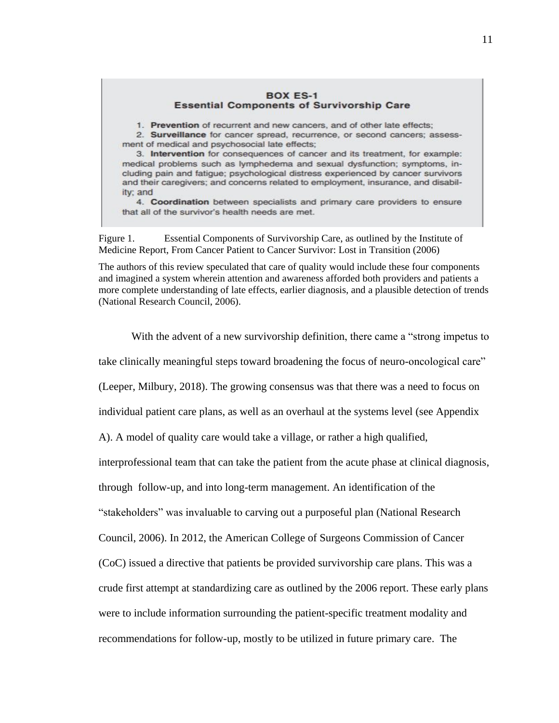#### **BOX ES-1 Essential Components of Survivorship Care**

1. Prevention of recurrent and new cancers, and of other late effects;

2. Surveillance for cancer spread, recurrence, or second cancers; assessment of medical and psychosocial late effects;

3. Intervention for consequences of cancer and its treatment, for example: medical problems such as lymphedema and sexual dysfunction; symptoms, including pain and fatigue; psychological distress experienced by cancer survivors and their caregivers; and concerns related to employment, insurance, and disability; and

4. Coordination between specialists and primary care providers to ensure that all of the survivor's health needs are met.

Figure 1. Essential Components of Survivorship Care, as outlined by the Institute of Medicine Report, From Cancer Patient to Cancer Survivor: Lost in Transition (2006)

The authors of this review speculated that care of quality would include these four components and imagined a system wherein attention and awareness afforded both providers and patients a more complete understanding of late effects, earlier diagnosis, and a plausible detection of trends (National Research Council, 2006).

With the advent of a new survivorship definition, there came a "strong impetus to

take clinically meaningful steps toward broadening the focus of neuro-oncological care"

(Leeper, Milbury, 2018). The growing consensus was that there was a need to focus on

individual patient care plans, as well as an overhaul at the systems level (see Appendix

A). A model of quality care would take a village, or rather a high qualified,

interprofessional team that can take the patient from the acute phase at clinical diagnosis,

through follow-up, and into long-term management. An identification of the

"stakeholders" was invaluable to carving out a purposeful plan (National Research

Council, 2006). In 2012, the American College of Surgeons Commission of Cancer

(CoC) issued a directive that patients be provided survivorship care plans. This was a

crude first attempt at standardizing care as outlined by the 2006 report. These early plans

were to include information surrounding the patient-specific treatment modality and

recommendations for follow-up, mostly to be utilized in future primary care. The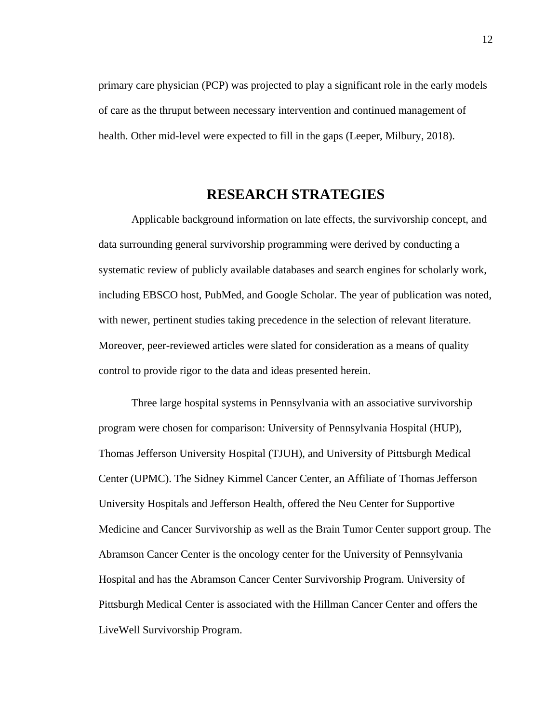primary care physician (PCP) was projected to play a significant role in the early models of care as the thruput between necessary intervention and continued management of health. Other mid-level were expected to fill in the gaps (Leeper, Milbury, 2018).

## **RESEARCH STRATEGIES**

Applicable background information on late effects, the survivorship concept, and data surrounding general survivorship programming were derived by conducting a systematic review of publicly available databases and search engines for scholarly work, including EBSCO host, PubMed, and Google Scholar. The year of publication was noted, with newer, pertinent studies taking precedence in the selection of relevant literature. Moreover, peer-reviewed articles were slated for consideration as a means of quality control to provide rigor to the data and ideas presented herein.

Three large hospital systems in Pennsylvania with an associative survivorship program were chosen for comparison: University of Pennsylvania Hospital (HUP), Thomas Jefferson University Hospital (TJUH), and University of Pittsburgh Medical Center (UPMC). The Sidney Kimmel Cancer Center, an Affiliate of Thomas Jefferson University Hospitals and Jefferson Health, offered the Neu Center for Supportive Medicine and Cancer Survivorship as well as the Brain Tumor Center support group. The Abramson Cancer Center is the oncology center for the University of Pennsylvania Hospital and has the Abramson Cancer Center Survivorship Program. University of Pittsburgh Medical Center is associated with the Hillman Cancer Center and offers the LiveWell Survivorship Program.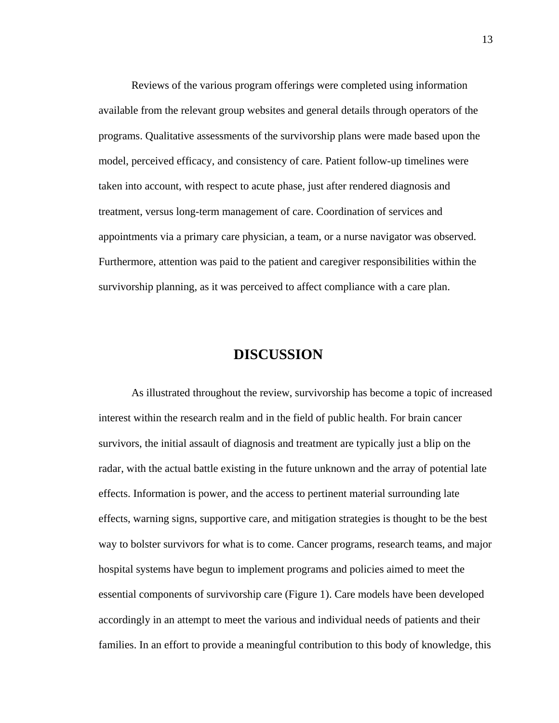Reviews of the various program offerings were completed using information available from the relevant group websites and general details through operators of the programs. Qualitative assessments of the survivorship plans were made based upon the model, perceived efficacy, and consistency of care. Patient follow-up timelines were taken into account, with respect to acute phase, just after rendered diagnosis and treatment, versus long-term management of care. Coordination of services and appointments via a primary care physician, a team, or a nurse navigator was observed. Furthermore, attention was paid to the patient and caregiver responsibilities within the survivorship planning, as it was perceived to affect compliance with a care plan.

## **DISCUSSION**

As illustrated throughout the review, survivorship has become a topic of increased interest within the research realm and in the field of public health. For brain cancer survivors, the initial assault of diagnosis and treatment are typically just a blip on the radar, with the actual battle existing in the future unknown and the array of potential late effects. Information is power, and the access to pertinent material surrounding late effects, warning signs, supportive care, and mitigation strategies is thought to be the best way to bolster survivors for what is to come. Cancer programs, research teams, and major hospital systems have begun to implement programs and policies aimed to meet the essential components of survivorship care (Figure 1). Care models have been developed accordingly in an attempt to meet the various and individual needs of patients and their families. In an effort to provide a meaningful contribution to this body of knowledge, this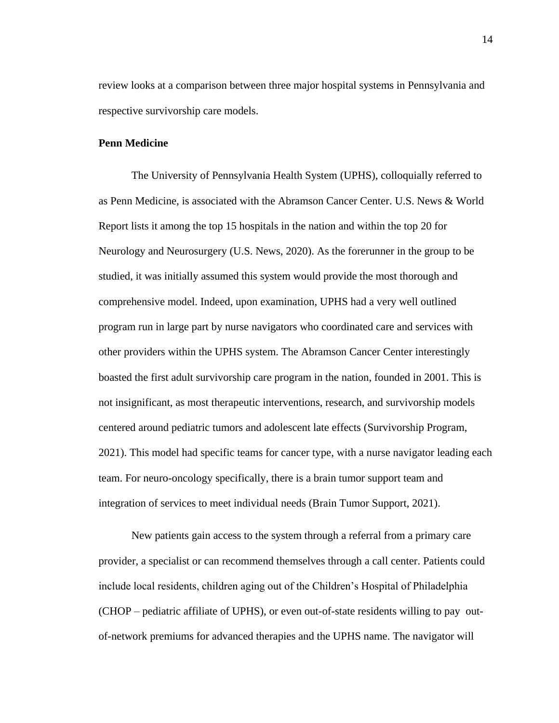review looks at a comparison between three major hospital systems in Pennsylvania and respective survivorship care models.

#### **Penn Medicine**

The University of Pennsylvania Health System (UPHS), colloquially referred to as Penn Medicine, is associated with the Abramson Cancer Center. U.S. News & World Report lists it among the top 15 hospitals in the nation and within the top 20 for Neurology and Neurosurgery (U.S. News, 2020). As the forerunner in the group to be studied, it was initially assumed this system would provide the most thorough and comprehensive model. Indeed, upon examination, UPHS had a very well outlined program run in large part by nurse navigators who coordinated care and services with other providers within the UPHS system. The Abramson Cancer Center interestingly boasted the first adult survivorship care program in the nation, founded in 2001. This is not insignificant, as most therapeutic interventions, research, and survivorship models centered around pediatric tumors and adolescent late effects (Survivorship Program, 2021). This model had specific teams for cancer type, with a nurse navigator leading each team. For neuro-oncology specifically, there is a brain tumor support team and integration of services to meet individual needs (Brain Tumor Support, 2021).

New patients gain access to the system through a referral from a primary care provider, a specialist or can recommend themselves through a call center. Patients could include local residents, children aging out of the Children's Hospital of Philadelphia (CHOP – pediatric affiliate of UPHS), or even out-of-state residents willing to pay outof-network premiums for advanced therapies and the UPHS name. The navigator will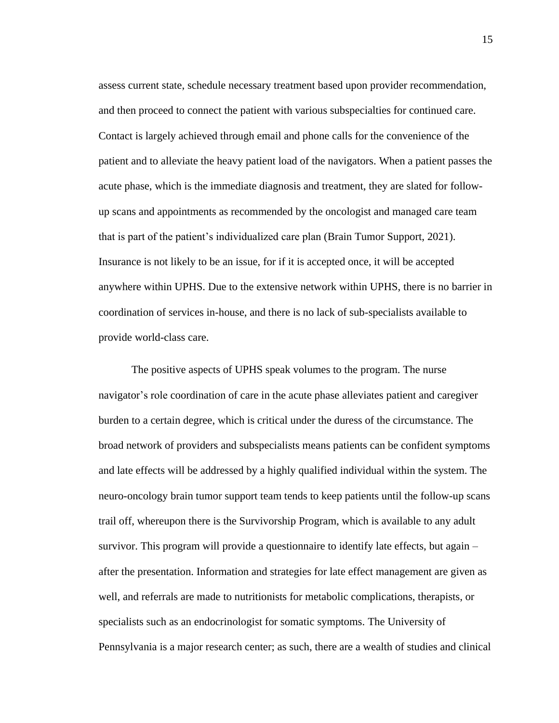assess current state, schedule necessary treatment based upon provider recommendation, and then proceed to connect the patient with various subspecialties for continued care. Contact is largely achieved through email and phone calls for the convenience of the patient and to alleviate the heavy patient load of the navigators. When a patient passes the acute phase, which is the immediate diagnosis and treatment, they are slated for followup scans and appointments as recommended by the oncologist and managed care team that is part of the patient's individualized care plan (Brain Tumor Support, 2021). Insurance is not likely to be an issue, for if it is accepted once, it will be accepted anywhere within UPHS. Due to the extensive network within UPHS, there is no barrier in coordination of services in-house, and there is no lack of sub-specialists available to provide world-class care.

The positive aspects of UPHS speak volumes to the program. The nurse navigator's role coordination of care in the acute phase alleviates patient and caregiver burden to a certain degree, which is critical under the duress of the circumstance. The broad network of providers and subspecialists means patients can be confident symptoms and late effects will be addressed by a highly qualified individual within the system. The neuro-oncology brain tumor support team tends to keep patients until the follow-up scans trail off, whereupon there is the Survivorship Program, which is available to any adult survivor. This program will provide a questionnaire to identify late effects, but again – after the presentation. Information and strategies for late effect management are given as well, and referrals are made to nutritionists for metabolic complications, therapists, or specialists such as an endocrinologist for somatic symptoms. The University of Pennsylvania is a major research center; as such, there are a wealth of studies and clinical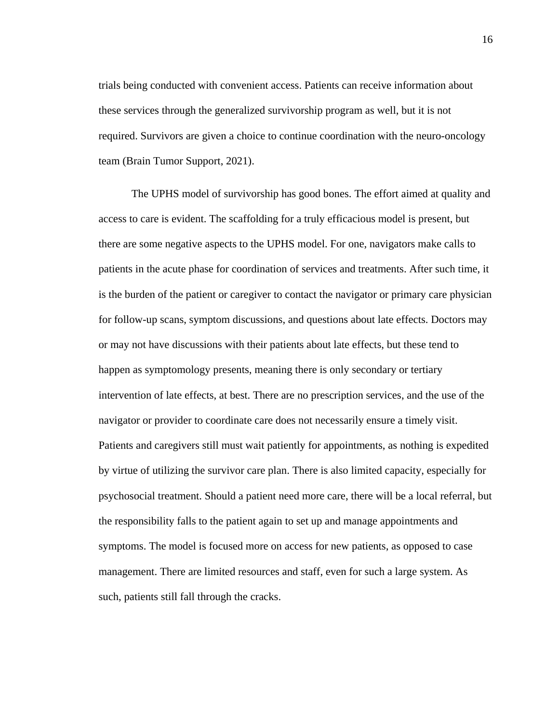trials being conducted with convenient access. Patients can receive information about these services through the generalized survivorship program as well, but it is not required. Survivors are given a choice to continue coordination with the neuro-oncology team (Brain Tumor Support, 2021).

The UPHS model of survivorship has good bones. The effort aimed at quality and access to care is evident. The scaffolding for a truly efficacious model is present, but there are some negative aspects to the UPHS model. For one, navigators make calls to patients in the acute phase for coordination of services and treatments. After such time, it is the burden of the patient or caregiver to contact the navigator or primary care physician for follow-up scans, symptom discussions, and questions about late effects. Doctors may or may not have discussions with their patients about late effects, but these tend to happen as symptomology presents, meaning there is only secondary or tertiary intervention of late effects, at best. There are no prescription services, and the use of the navigator or provider to coordinate care does not necessarily ensure a timely visit. Patients and caregivers still must wait patiently for appointments, as nothing is expedited by virtue of utilizing the survivor care plan. There is also limited capacity, especially for psychosocial treatment. Should a patient need more care, there will be a local referral, but the responsibility falls to the patient again to set up and manage appointments and symptoms. The model is focused more on access for new patients, as opposed to case management. There are limited resources and staff, even for such a large system. As such, patients still fall through the cracks.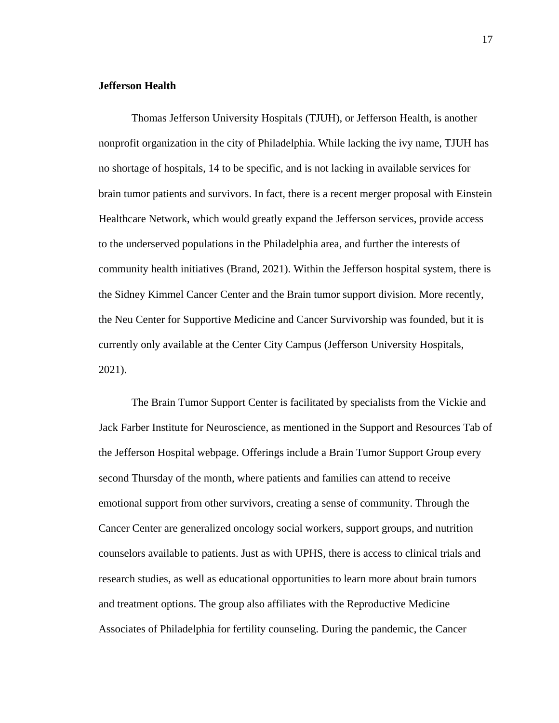## **Jefferson Health**

Thomas Jefferson University Hospitals (TJUH), or Jefferson Health, is another nonprofit organization in the city of Philadelphia. While lacking the ivy name, TJUH has no shortage of hospitals, 14 to be specific, and is not lacking in available services for brain tumor patients and survivors. In fact, there is a recent merger proposal with Einstein Healthcare Network, which would greatly expand the Jefferson services, provide access to the underserved populations in the Philadelphia area, and further the interests of community health initiatives (Brand, 2021). Within the Jefferson hospital system, there is the Sidney Kimmel Cancer Center and the Brain tumor support division. More recently, the Neu Center for Supportive Medicine and Cancer Survivorship was founded, but it is currently only available at the Center City Campus (Jefferson University Hospitals, 2021).

The Brain Tumor Support Center is facilitated by specialists from the Vickie and Jack Farber Institute for Neuroscience, as mentioned in the Support and Resources Tab of the Jefferson Hospital webpage. Offerings include a Brain Tumor Support Group every second Thursday of the month, where patients and families can attend to receive emotional support from other survivors, creating a sense of community. Through the Cancer Center are generalized oncology social workers, support groups, and nutrition counselors available to patients. Just as with UPHS, there is access to clinical trials and research studies, as well as educational opportunities to learn more about brain tumors and treatment options. The group also affiliates with the Reproductive Medicine Associates of Philadelphia for fertility counseling. During the pandemic, the Cancer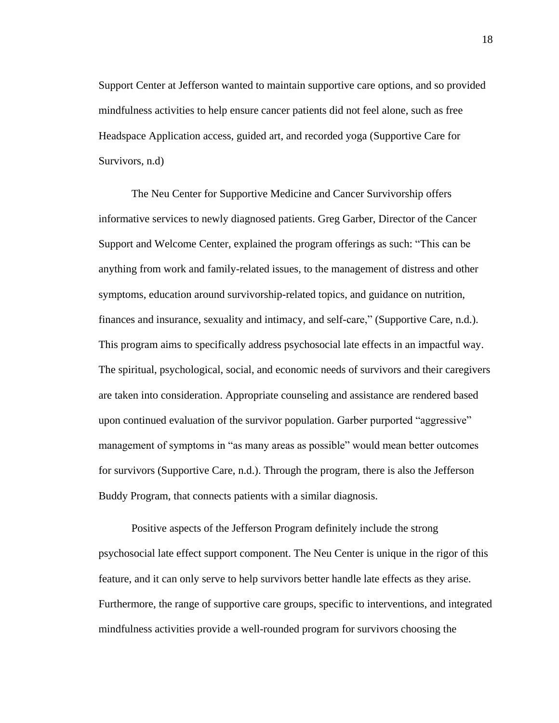Support Center at Jefferson wanted to maintain supportive care options, and so provided mindfulness activities to help ensure cancer patients did not feel alone, such as free Headspace Application access, guided art, and recorded yoga (Supportive Care for Survivors, n.d)

The Neu Center for Supportive Medicine and Cancer Survivorship offers informative services to newly diagnosed patients. Greg Garber, Director of the Cancer Support and Welcome Center, explained the program offerings as such: "This can be anything from work and family-related issues, to the management of distress and other symptoms, education around survivorship-related topics, and guidance on nutrition, finances and insurance, sexuality and intimacy, and self-care," (Supportive Care, n.d.). This program aims to specifically address psychosocial late effects in an impactful way. The spiritual, psychological, social, and economic needs of survivors and their caregivers are taken into consideration. Appropriate counseling and assistance are rendered based upon continued evaluation of the survivor population. Garber purported "aggressive" management of symptoms in "as many areas as possible" would mean better outcomes for survivors (Supportive Care, n.d.). Through the program, there is also the Jefferson Buddy Program, that connects patients with a similar diagnosis.

Positive aspects of the Jefferson Program definitely include the strong psychosocial late effect support component. The Neu Center is unique in the rigor of this feature, and it can only serve to help survivors better handle late effects as they arise. Furthermore, the range of supportive care groups, specific to interventions, and integrated mindfulness activities provide a well-rounded program for survivors choosing the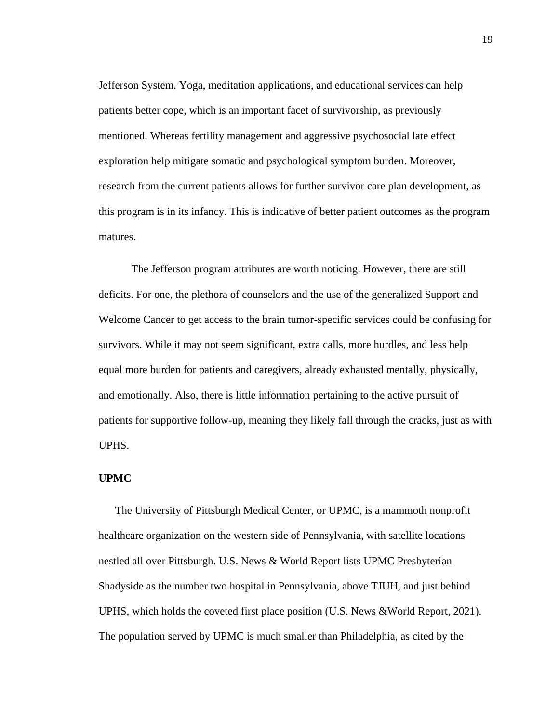Jefferson System. Yoga, meditation applications, and educational services can help patients better cope, which is an important facet of survivorship, as previously mentioned. Whereas fertility management and aggressive psychosocial late effect exploration help mitigate somatic and psychological symptom burden. Moreover, research from the current patients allows for further survivor care plan development, as this program is in its infancy. This is indicative of better patient outcomes as the program matures.

The Jefferson program attributes are worth noticing. However, there are still deficits. For one, the plethora of counselors and the use of the generalized Support and Welcome Cancer to get access to the brain tumor-specific services could be confusing for survivors. While it may not seem significant, extra calls, more hurdles, and less help equal more burden for patients and caregivers, already exhausted mentally, physically, and emotionally. Also, there is little information pertaining to the active pursuit of patients for supportive follow-up, meaning they likely fall through the cracks, just as with UPHS.

### **UPMC**

The University of Pittsburgh Medical Center, or UPMC, is a mammoth nonprofit healthcare organization on the western side of Pennsylvania, with satellite locations nestled all over Pittsburgh. U.S. News & World Report lists UPMC Presbyterian Shadyside as the number two hospital in Pennsylvania, above TJUH, and just behind UPHS, which holds the coveted first place position (U.S. News &World Report, 2021). The population served by UPMC is much smaller than Philadelphia, as cited by the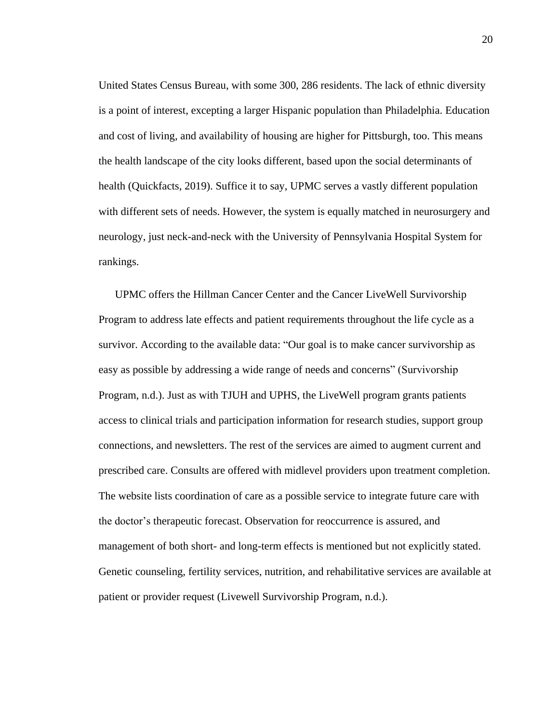United States Census Bureau, with some 300, 286 residents. The lack of ethnic diversity is a point of interest, excepting a larger Hispanic population than Philadelphia. Education and cost of living, and availability of housing are higher for Pittsburgh, too. This means the health landscape of the city looks different, based upon the social determinants of health (Quickfacts, 2019). Suffice it to say, UPMC serves a vastly different population with different sets of needs. However, the system is equally matched in neurosurgery and neurology, just neck-and-neck with the University of Pennsylvania Hospital System for rankings.

UPMC offers the Hillman Cancer Center and the Cancer LiveWell Survivorship Program to address late effects and patient requirements throughout the life cycle as a survivor. According to the available data: "Our goal is to make cancer survivorship as easy as possible by addressing a wide range of needs and concerns" (Survivorship Program, n.d.). Just as with TJUH and UPHS, the LiveWell program grants patients access to clinical trials and participation information for research studies, support group connections, and newsletters. The rest of the services are aimed to augment current and prescribed care. Consults are offered with midlevel providers upon treatment completion. The website lists coordination of care as a possible service to integrate future care with the doctor's therapeutic forecast. Observation for reoccurrence is assured, and management of both short- and long-term effects is mentioned but not explicitly stated. Genetic counseling, fertility services, nutrition, and rehabilitative services are available at patient or provider request (Livewell Survivorship Program, n.d.).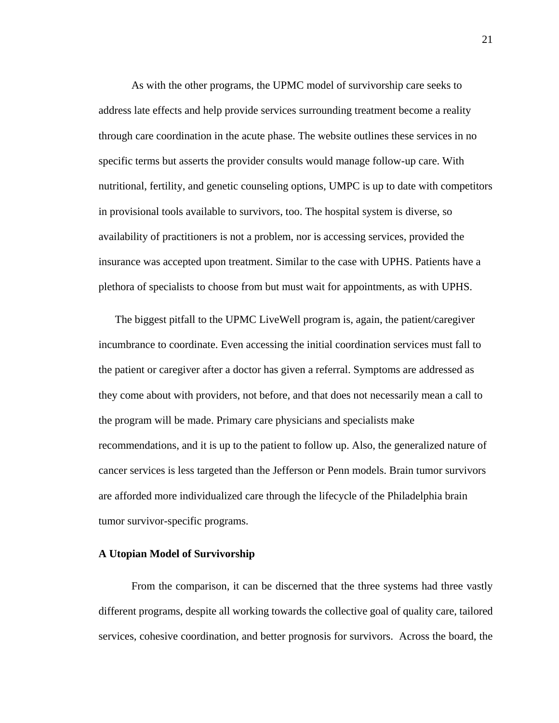As with the other programs, the UPMC model of survivorship care seeks to address late effects and help provide services surrounding treatment become a reality through care coordination in the acute phase. The website outlines these services in no specific terms but asserts the provider consults would manage follow-up care. With nutritional, fertility, and genetic counseling options, UMPC is up to date with competitors in provisional tools available to survivors, too. The hospital system is diverse, so availability of practitioners is not a problem, nor is accessing services, provided the insurance was accepted upon treatment. Similar to the case with UPHS. Patients have a plethora of specialists to choose from but must wait for appointments, as with UPHS.

The biggest pitfall to the UPMC LiveWell program is, again, the patient/caregiver incumbrance to coordinate. Even accessing the initial coordination services must fall to the patient or caregiver after a doctor has given a referral. Symptoms are addressed as they come about with providers, not before, and that does not necessarily mean a call to the program will be made. Primary care physicians and specialists make recommendations, and it is up to the patient to follow up. Also, the generalized nature of cancer services is less targeted than the Jefferson or Penn models. Brain tumor survivors are afforded more individualized care through the lifecycle of the Philadelphia brain tumor survivor-specific programs.

#### **A Utopian Model of Survivorship**

From the comparison, it can be discerned that the three systems had three vastly different programs, despite all working towards the collective goal of quality care, tailored services, cohesive coordination, and better prognosis for survivors. Across the board, the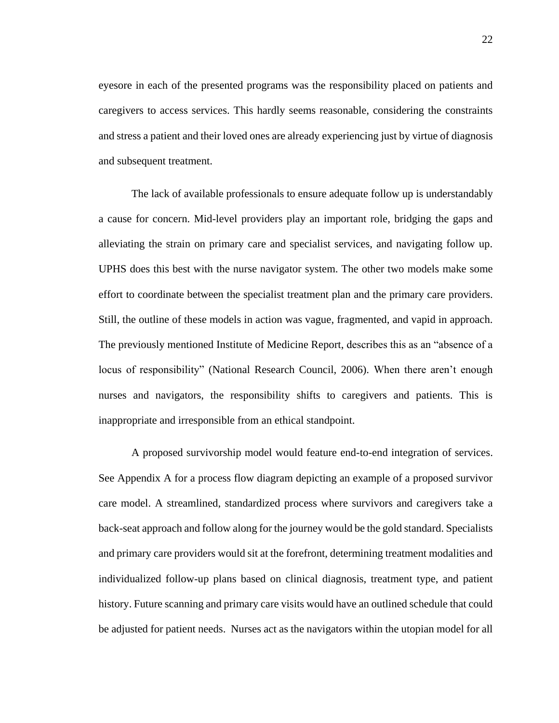eyesore in each of the presented programs was the responsibility placed on patients and caregivers to access services. This hardly seems reasonable, considering the constraints and stress a patient and their loved ones are already experiencing just by virtue of diagnosis and subsequent treatment.

The lack of available professionals to ensure adequate follow up is understandably a cause for concern. Mid-level providers play an important role, bridging the gaps and alleviating the strain on primary care and specialist services, and navigating follow up. UPHS does this best with the nurse navigator system. The other two models make some effort to coordinate between the specialist treatment plan and the primary care providers. Still, the outline of these models in action was vague, fragmented, and vapid in approach. The previously mentioned Institute of Medicine Report, describes this as an "absence of a locus of responsibility" (National Research Council, 2006). When there aren't enough nurses and navigators, the responsibility shifts to caregivers and patients. This is inappropriate and irresponsible from an ethical standpoint.

A proposed survivorship model would feature end-to-end integration of services. See Appendix A for a process flow diagram depicting an example of a proposed survivor care model. A streamlined, standardized process where survivors and caregivers take a back-seat approach and follow along for the journey would be the gold standard. Specialists and primary care providers would sit at the forefront, determining treatment modalities and individualized follow-up plans based on clinical diagnosis, treatment type, and patient history. Future scanning and primary care visits would have an outlined schedule that could be adjusted for patient needs. Nurses act as the navigators within the utopian model for all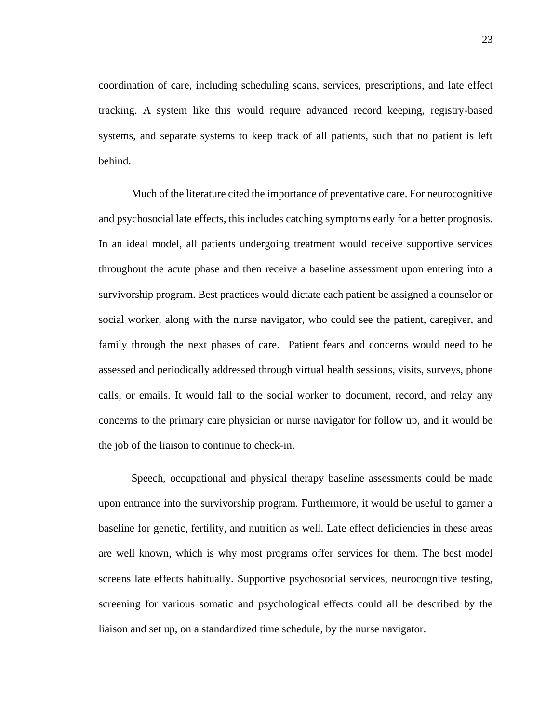coordination of care, including scheduling scans, services, prescriptions, and late effect tracking. A system like this would require advanced record keeping, registry-based systems, and separate systems to keep track of all patients, such that no patient is left behind.

Much of the literature cited the importance of preventative care. For neurocognitive and psychosocial late effects, this includes catching symptoms early for a better prognosis. In an ideal model, all patients undergoing treatment would receive supportive services throughout the acute phase and then receive a baseline assessment upon entering into a survivorship program. Best practices would dictate each patient be assigned a counselor or social worker, along with the nurse navigator, who could see the patient, caregiver, and family through the next phases of care. Patient fears and concerns would need to be assessed and periodically addressed through virtual health sessions, visits, surveys, phone calls, or emails. It would fall to the social worker to document, record, and relay any concerns to the primary care physician or nurse navigator for follow up, and it would be the job of the liaison to continue to check-in.

Speech, occupational and physical therapy baseline assessments could be made upon entrance into the survivorship program. Furthermore, it would be useful to garner a baseline for genetic, fertility, and nutrition as well. Late effect deficiencies in these areas are well known, which is why most programs offer services for them. The best model screens late effects habitually. Supportive psychosocial services, neurocognitive testing, screening for various somatic and psychological effects could all be described by the liaison and set up, on a standardized time schedule, by the nurse navigator.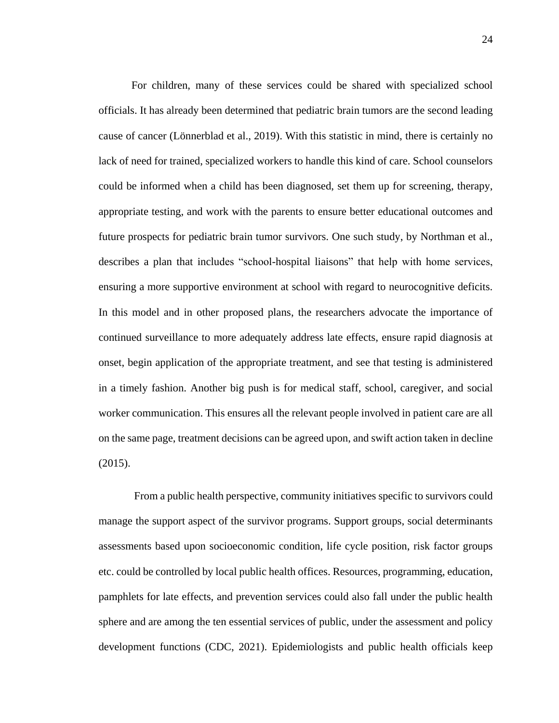For children, many of these services could be shared with specialized school officials. It has already been determined that pediatric brain tumors are the second leading cause of cancer (Lönnerblad et al., 2019). With this statistic in mind, there is certainly no lack of need for trained, specialized workers to handle this kind of care. School counselors could be informed when a child has been diagnosed, set them up for screening, therapy, appropriate testing, and work with the parents to ensure better educational outcomes and future prospects for pediatric brain tumor survivors. One such study, by Northman et al., describes a plan that includes "school-hospital liaisons" that help with home services, ensuring a more supportive environment at school with regard to neurocognitive deficits. In this model and in other proposed plans, the researchers advocate the importance of continued surveillance to more adequately address late effects, ensure rapid diagnosis at onset, begin application of the appropriate treatment, and see that testing is administered in a timely fashion. Another big push is for medical staff, school, caregiver, and social worker communication. This ensures all the relevant people involved in patient care are all on the same page, treatment decisions can be agreed upon, and swift action taken in decline (2015).

From a public health perspective, community initiatives specific to survivors could manage the support aspect of the survivor programs. Support groups, social determinants assessments based upon socioeconomic condition, life cycle position, risk factor groups etc. could be controlled by local public health offices. Resources, programming, education, pamphlets for late effects, and prevention services could also fall under the public health sphere and are among the ten essential services of public, under the assessment and policy development functions (CDC, 2021). Epidemiologists and public health officials keep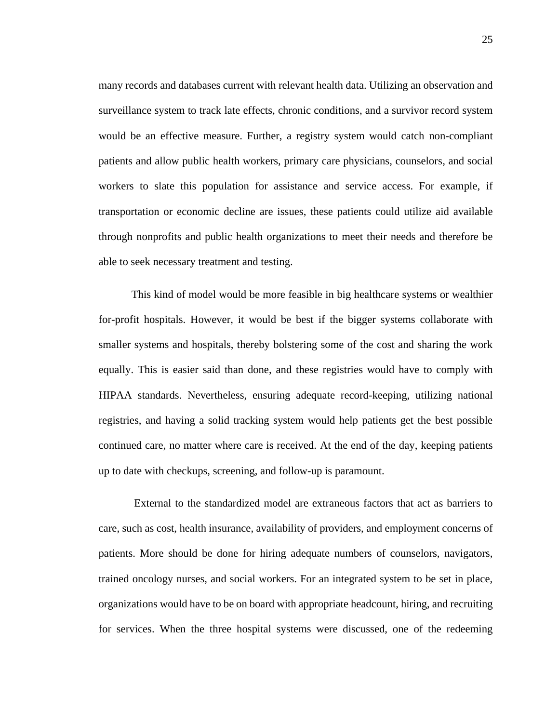many records and databases current with relevant health data. Utilizing an observation and surveillance system to track late effects, chronic conditions, and a survivor record system would be an effective measure. Further, a registry system would catch non-compliant patients and allow public health workers, primary care physicians, counselors, and social workers to slate this population for assistance and service access. For example, if transportation or economic decline are issues, these patients could utilize aid available through nonprofits and public health organizations to meet their needs and therefore be able to seek necessary treatment and testing.

This kind of model would be more feasible in big healthcare systems or wealthier for-profit hospitals. However, it would be best if the bigger systems collaborate with smaller systems and hospitals, thereby bolstering some of the cost and sharing the work equally. This is easier said than done, and these registries would have to comply with HIPAA standards. Nevertheless, ensuring adequate record-keeping, utilizing national registries, and having a solid tracking system would help patients get the best possible continued care, no matter where care is received. At the end of the day, keeping patients up to date with checkups, screening, and follow-up is paramount.

External to the standardized model are extraneous factors that act as barriers to care, such as cost, health insurance, availability of providers, and employment concerns of patients. More should be done for hiring adequate numbers of counselors, navigators, trained oncology nurses, and social workers. For an integrated system to be set in place, organizations would have to be on board with appropriate headcount, hiring, and recruiting for services. When the three hospital systems were discussed, one of the redeeming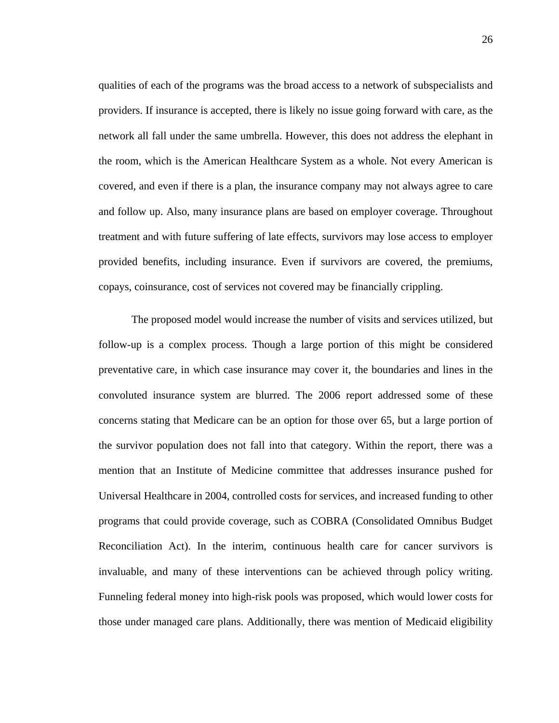qualities of each of the programs was the broad access to a network of subspecialists and providers. If insurance is accepted, there is likely no issue going forward with care, as the network all fall under the same umbrella. However, this does not address the elephant in the room, which is the American Healthcare System as a whole. Not every American is covered, and even if there is a plan, the insurance company may not always agree to care and follow up. Also, many insurance plans are based on employer coverage. Throughout treatment and with future suffering of late effects, survivors may lose access to employer provided benefits, including insurance. Even if survivors are covered, the premiums, copays, coinsurance, cost of services not covered may be financially crippling.

The proposed model would increase the number of visits and services utilized, but follow-up is a complex process. Though a large portion of this might be considered preventative care, in which case insurance may cover it, the boundaries and lines in the convoluted insurance system are blurred. The 2006 report addressed some of these concerns stating that Medicare can be an option for those over 65, but a large portion of the survivor population does not fall into that category. Within the report, there was a mention that an Institute of Medicine committee that addresses insurance pushed for Universal Healthcare in 2004, controlled costs for services, and increased funding to other programs that could provide coverage, such as COBRA (Consolidated Omnibus Budget Reconciliation Act). In the interim, continuous health care for cancer survivors is invaluable, and many of these interventions can be achieved through policy writing. Funneling federal money into high-risk pools was proposed, which would lower costs for those under managed care plans. Additionally, there was mention of Medicaid eligibility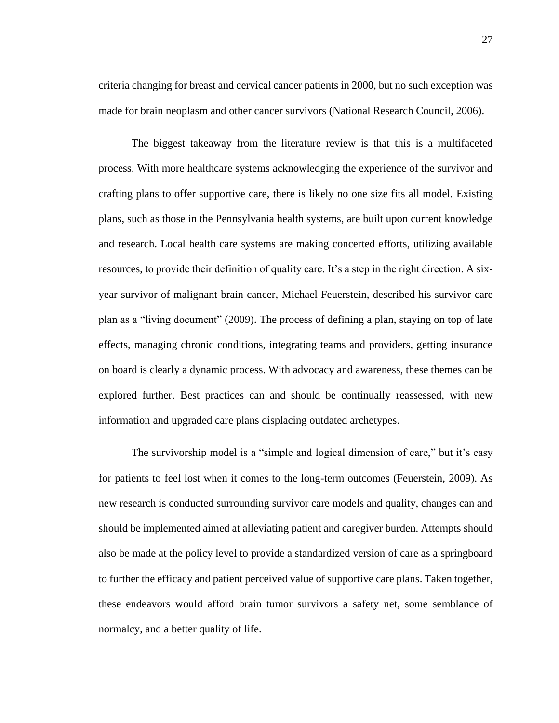criteria changing for breast and cervical cancer patients in 2000, but no such exception was made for brain neoplasm and other cancer survivors (National Research Council, 2006).

The biggest takeaway from the literature review is that this is a multifaceted process. With more healthcare systems acknowledging the experience of the survivor and crafting plans to offer supportive care, there is likely no one size fits all model. Existing plans, such as those in the Pennsylvania health systems, are built upon current knowledge and research. Local health care systems are making concerted efforts, utilizing available resources, to provide their definition of quality care. It's a step in the right direction. A sixyear survivor of malignant brain cancer, Michael Feuerstein, described his survivor care plan as a "living document" (2009). The process of defining a plan, staying on top of late effects, managing chronic conditions, integrating teams and providers, getting insurance on board is clearly a dynamic process. With advocacy and awareness, these themes can be explored further. Best practices can and should be continually reassessed, with new information and upgraded care plans displacing outdated archetypes.

The survivorship model is a "simple and logical dimension of care," but it's easy for patients to feel lost when it comes to the long-term outcomes (Feuerstein, 2009). As new research is conducted surrounding survivor care models and quality, changes can and should be implemented aimed at alleviating patient and caregiver burden. Attempts should also be made at the policy level to provide a standardized version of care as a springboard to further the efficacy and patient perceived value of supportive care plans. Taken together, these endeavors would afford brain tumor survivors a safety net, some semblance of normalcy, and a better quality of life.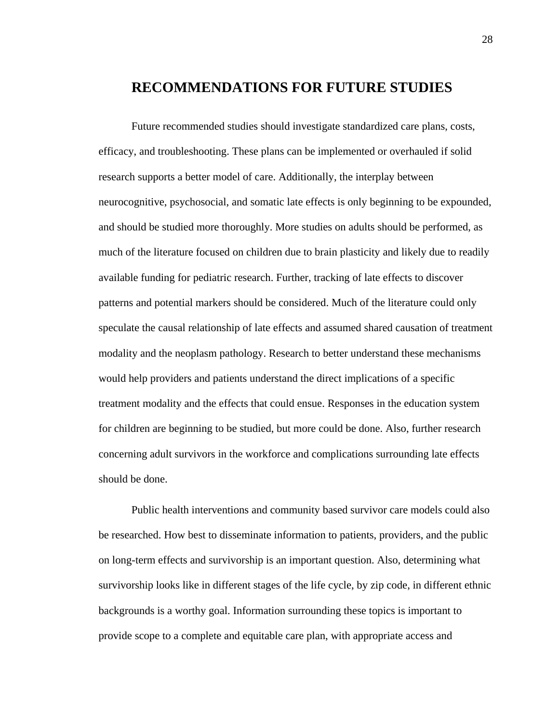## **RECOMMENDATIONS FOR FUTURE STUDIES**

Future recommended studies should investigate standardized care plans, costs, efficacy, and troubleshooting. These plans can be implemented or overhauled if solid research supports a better model of care. Additionally, the interplay between neurocognitive, psychosocial, and somatic late effects is only beginning to be expounded, and should be studied more thoroughly. More studies on adults should be performed, as much of the literature focused on children due to brain plasticity and likely due to readily available funding for pediatric research. Further, tracking of late effects to discover patterns and potential markers should be considered. Much of the literature could only speculate the causal relationship of late effects and assumed shared causation of treatment modality and the neoplasm pathology. Research to better understand these mechanisms would help providers and patients understand the direct implications of a specific treatment modality and the effects that could ensue. Responses in the education system for children are beginning to be studied, but more could be done. Also, further research concerning adult survivors in the workforce and complications surrounding late effects should be done.

Public health interventions and community based survivor care models could also be researched. How best to disseminate information to patients, providers, and the public on long-term effects and survivorship is an important question. Also, determining what survivorship looks like in different stages of the life cycle, by zip code, in different ethnic backgrounds is a worthy goal. Information surrounding these topics is important to provide scope to a complete and equitable care plan, with appropriate access and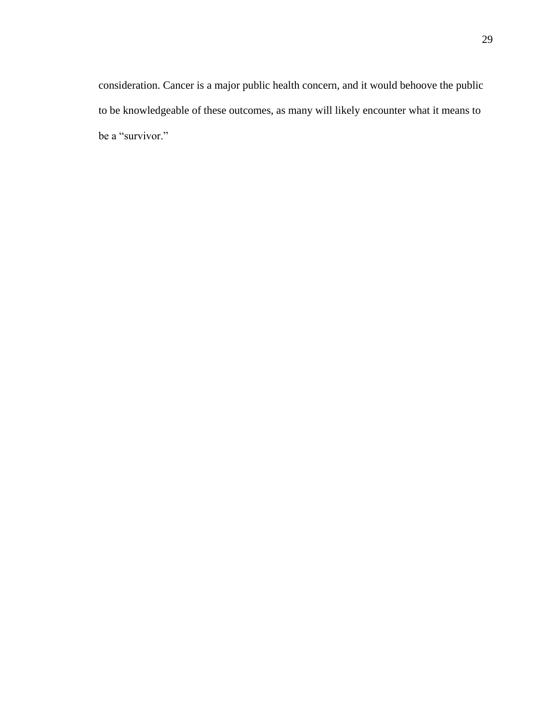consideration. Cancer is a major public health concern, and it would behoove the public to be knowledgeable of these outcomes, as many will likely encounter what it means to be a "survivor."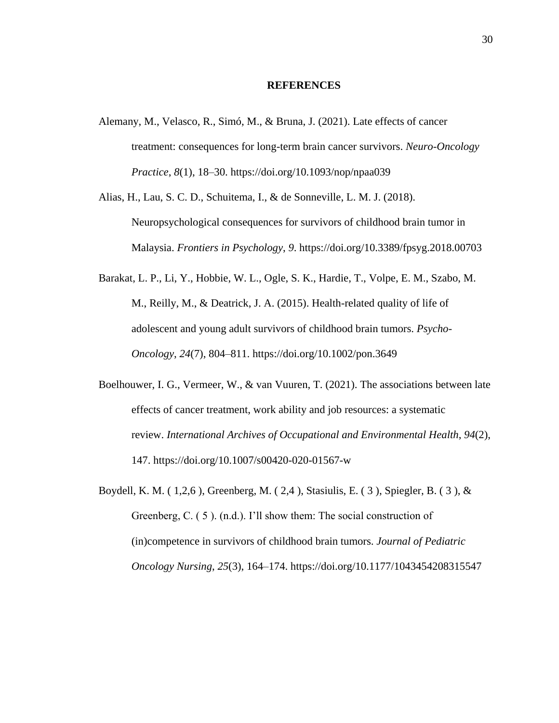#### **REFERENCES**

- Alemany, M., Velasco, R., Simó, M., & Bruna, J. (2021). Late effects of cancer treatment: consequences for long-term brain cancer survivors. *Neuro-Oncology Practice*, *8*(1), 18–30. https://doi.org/10.1093/nop/npaa039
- Alias, H., Lau, S. C. D., Schuitema, I., & de Sonneville, L. M. J. (2018). Neuropsychological consequences for survivors of childhood brain tumor in Malaysia. *Frontiers in Psychology*, *9*. https://doi.org/10.3389/fpsyg.2018.00703
- Barakat, L. P., Li, Y., Hobbie, W. L., Ogle, S. K., Hardie, T., Volpe, E. M., Szabo, M. M., Reilly, M., & Deatrick, J. A. (2015). Health-related quality of life of adolescent and young adult survivors of childhood brain tumors. *Psycho-Oncology*, *24*(7), 804–811. https://doi.org/10.1002/pon.3649
- Boelhouwer, I. G., Vermeer, W., & van Vuuren, T. (2021). The associations between late effects of cancer treatment, work ability and job resources: a systematic review. *International Archives of Occupational and Environmental Health*, *94*(2), 147. https://doi.org/10.1007/s00420-020-01567-w
- Boydell, K. M. ( 1,2,6 ), Greenberg, M. ( 2,4 ), Stasiulis, E. ( 3 ), Spiegler, B. ( 3 ), & Greenberg, C. ( 5 ). (n.d.). I'll show them: The social construction of (in)competence in survivors of childhood brain tumors. *Journal of Pediatric Oncology Nursing*, *25*(3), 164–174. https://doi.org/10.1177/1043454208315547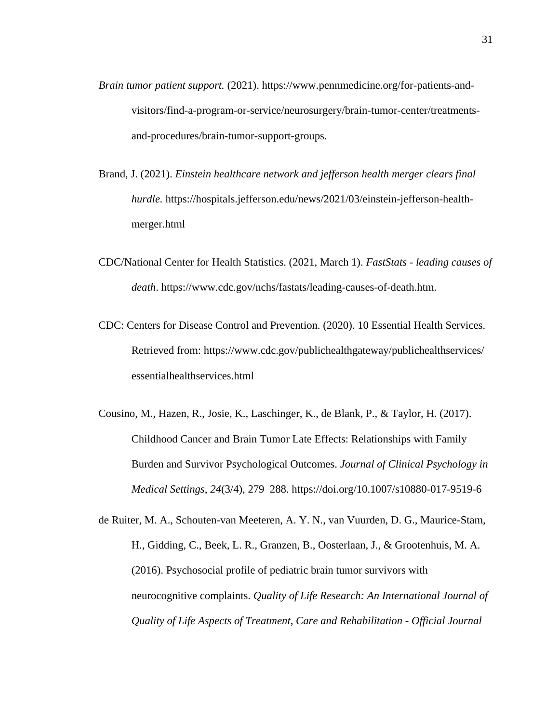- *Brain tumor patient support.* (2021). https://www.pennmedicine.org/for-patients-andvisitors/find-a-program-or-service/neurosurgery/brain-tumor-center/treatmentsand-procedures/brain-tumor-support-groups.
- Brand, J. (2021). *Einstein healthcare network and jefferson health merger clears final hurdle.* https://hospitals.jefferson.edu/news/2021/03/einstein-jefferson-healthmerger.html
- CDC/National Center for Health Statistics. (2021, March 1). *FastStats - leading causes of death*. https://www.cdc.gov/nchs/fastats/leading-causes-of-death.htm.
- CDC: Centers for Disease Control and Prevention. (2020). 10 Essential Health Services. Retrieved from: https://www.cdc.gov/publichealthgateway/publichealthservices/ essentialhealthservices.html
- Cousino, M., Hazen, R., Josie, K., Laschinger, K., de Blank, P., & Taylor, H. (2017). Childhood Cancer and Brain Tumor Late Effects: Relationships with Family Burden and Survivor Psychological Outcomes. *Journal of Clinical Psychology in Medical Settings*, *24*(3/4), 279–288. https://doi.org/10.1007/s10880-017-9519-6
- de Ruiter, M. A., Schouten-van Meeteren, A. Y. N., van Vuurden, D. G., Maurice-Stam, H., Gidding, C., Beek, L. R., Granzen, B., Oosterlaan, J., & Grootenhuis, M. A. (2016). Psychosocial profile of pediatric brain tumor survivors with neurocognitive complaints. *Quality of Life Research: An International Journal of Quality of Life Aspects of Treatment, Care and Rehabilitation - Official Journal*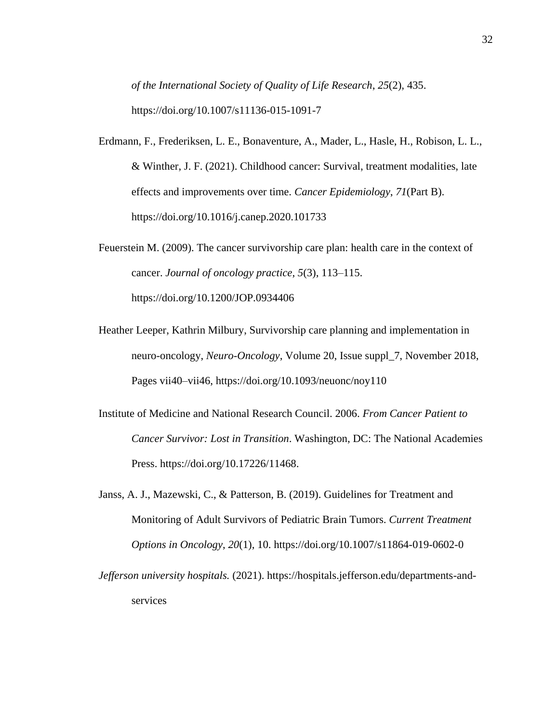*of the International Society of Quality of Life Research*, *25*(2), 435. https://doi.org/10.1007/s11136-015-1091-7

- Erdmann, F., Frederiksen, L. E., Bonaventure, A., Mader, L., Hasle, H., Robison, L. L., & Winther, J. F. (2021). Childhood cancer: Survival, treatment modalities, late effects and improvements over time. *Cancer Epidemiology*, *71*(Part B). https://doi.org/10.1016/j.canep.2020.101733
- Feuerstein M. (2009). The cancer survivorship care plan: health care in the context of cancer. *Journal of oncology practice*, *5*(3), 113–115. https://doi.org/10.1200/JOP.0934406
- Heather Leeper, Kathrin Milbury, Survivorship care planning and implementation in neuro-oncology, *Neuro-Oncology*, Volume 20, Issue suppl\_7, November 2018, Pages vii40–vii46, https://doi.org/10.1093/neuonc/noy110
- Institute of Medicine and National Research Council. 2006. *From Cancer Patient to Cancer Survivor: Lost in Transition*. Washington, DC: The National Academies Press. https://doi.org/10.17226/11468.
- Janss, A. J., Mazewski, C., & Patterson, B. (2019). Guidelines for Treatment and Monitoring of Adult Survivors of Pediatric Brain Tumors. *Current Treatment Options in Oncology*, *20*(1), 10. https://doi.org/10.1007/s11864-019-0602-0
- *Jefferson university hospitals.* (2021). https://hospitals.jefferson.edu/departments-andservices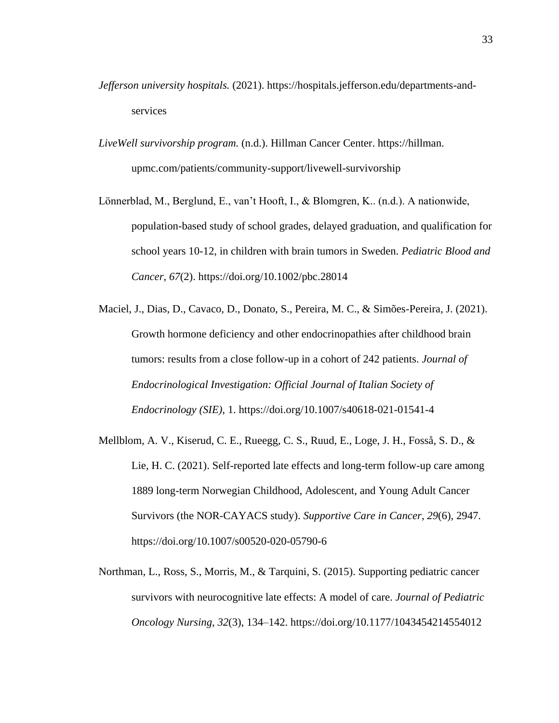- *Jefferson university hospitals.* (2021). https://hospitals.jefferson.edu/departments-andservices
- *LiveWell survivorship program.* (n.d.). Hillman Cancer Center. https://hillman. upmc.com/patients/community-support/livewell-survivorship
- Lönnerblad, M., Berglund, E., van't Hooft, I., & Blomgren, K.. (n.d.). A nationwide, population-based study of school grades, delayed graduation, and qualification for school years 10-12, in children with brain tumors in Sweden. *Pediatric Blood and Cancer*, *67*(2). https://doi.org/10.1002/pbc.28014
- Maciel, J., Dias, D., Cavaco, D., Donato, S., Pereira, M. C., & Simões-Pereira, J. (2021). Growth hormone deficiency and other endocrinopathies after childhood brain tumors: results from a close follow-up in a cohort of 242 patients. *Journal of Endocrinological Investigation: Official Journal of Italian Society of Endocrinology (SIE)*, 1. https://doi.org/10.1007/s40618-021-01541-4
- Mellblom, A. V., Kiserud, C. E., Rueegg, C. S., Ruud, E., Loge, J. H., Fosså, S. D., & Lie, H. C. (2021). Self-reported late effects and long-term follow-up care among 1889 long-term Norwegian Childhood, Adolescent, and Young Adult Cancer Survivors (the NOR-CAYACS study). *Supportive Care in Cancer*, *29*(6), 2947. https://doi.org/10.1007/s00520-020-05790-6
- Northman, L., Ross, S., Morris, M., & Tarquini, S. (2015). Supporting pediatric cancer survivors with neurocognitive late effects: A model of care. *Journal of Pediatric Oncology Nursing*, *32*(3), 134–142. https://doi.org/10.1177/1043454214554012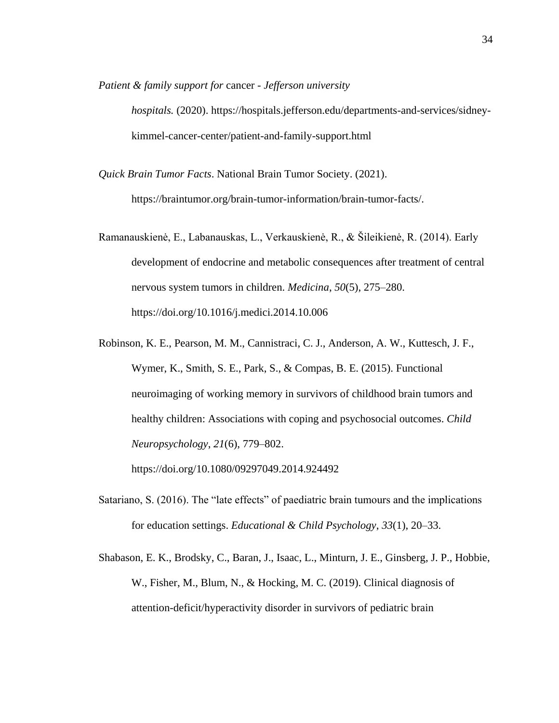*Patient & family support for* cancer *- Jefferson university* 

*hospitals.* (2020). https://hospitals.jefferson.edu/departments-and-services/sidneykimmel-cancer-center/patient-and-family-support.html

*Quick Brain Tumor Facts*. National Brain Tumor Society. (2021).

https://braintumor.org/brain-tumor-information/brain-tumor-facts/.

- Ramanauskienė, E., Labanauskas, L., Verkauskienė, R., & Šileikienė, R. (2014). Early development of endocrine and metabolic consequences after treatment of central nervous system tumors in children. *Medicina*, *50*(5), 275–280. https://doi.org/10.1016/j.medici.2014.10.006
- Robinson, K. E., Pearson, M. M., Cannistraci, C. J., Anderson, A. W., Kuttesch, J. F., Wymer, K., Smith, S. E., Park, S., & Compas, B. E. (2015). Functional neuroimaging of working memory in survivors of childhood brain tumors and healthy children: Associations with coping and psychosocial outcomes. *Child Neuropsychology*, *21*(6), 779–802.

https://doi.org/10.1080/09297049.2014.924492

- Satariano, S. (2016). The "late effects" of paediatric brain tumours and the implications for education settings. *Educational & Child Psychology*, *33*(1), 20–33.
- Shabason, E. K., Brodsky, C., Baran, J., Isaac, L., Minturn, J. E., Ginsberg, J. P., Hobbie, W., Fisher, M., Blum, N., & Hocking, M. C. (2019). Clinical diagnosis of attention-deficit/hyperactivity disorder in survivors of pediatric brain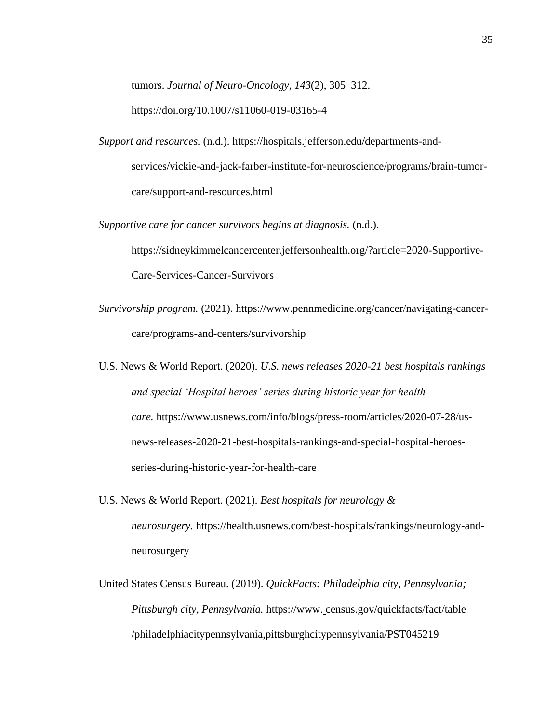tumors. *Journal of Neuro-Oncology*, *143*(2), 305–312.

https://doi.org/10.1007/s11060-019-03165-4

*Support and resources.* (n.d.). https://hospitals.jefferson.edu/departments-andservices/vickie-and-jack-farber-institute-for-neuroscience/programs/brain-tumorcare/support-and-resources.html

*Supportive care for cancer survivors begins at diagnosis.* (n.d.).

https://sidneykimmelcancercenter.jeffersonhealth.org/?article=2020-Supportive-Care-Services-Cancer-Survivors

- *Survivorship program.* (2021). https://www.pennmedicine.org/cancer/navigating-cancercare/programs-and-centers/survivorship
- U.S. News & World Report. (2020). *U.S. news releases 2020-21 best hospitals rankings and special 'Hospital heroes' series during historic year for health care.* https://www.usnews.com/info/blogs/press-room/articles/2020-07-28/usnews-releases-2020-21-best-hospitals-rankings-and-special-hospital-heroesseries-during-historic-year-for-health-care
- U.S. News & World Report. (2021). *Best hospitals for neurology & neurosurgery.* https://health.usnews.com/best-hospitals/rankings/neurology-andneurosurgery
- United States Census Bureau. (2019). *QuickFacts: Philadelphia city, Pennsylvania; Pittsburgh city, Pennsylvania.* https://www. census.gov/quickfacts/fact/table /philadelphiacitypennsylvania,pittsburghcitypennsylvania/PST045219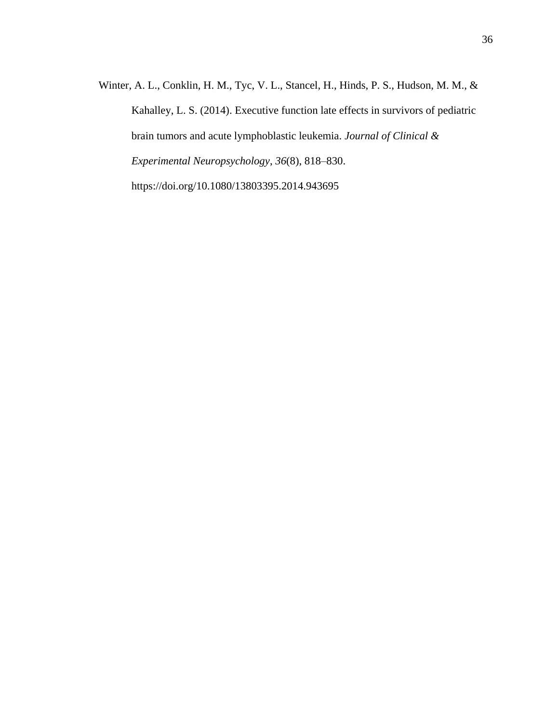Winter, A. L., Conklin, H. M., Tyc, V. L., Stancel, H., Hinds, P. S., Hudson, M. M., & Kahalley, L. S. (2014). Executive function late effects in survivors of pediatric brain tumors and acute lymphoblastic leukemia. *Journal of Clinical & Experimental Neuropsychology*, *36*(8), 818–830. https://doi.org/10.1080/13803395.2014.943695